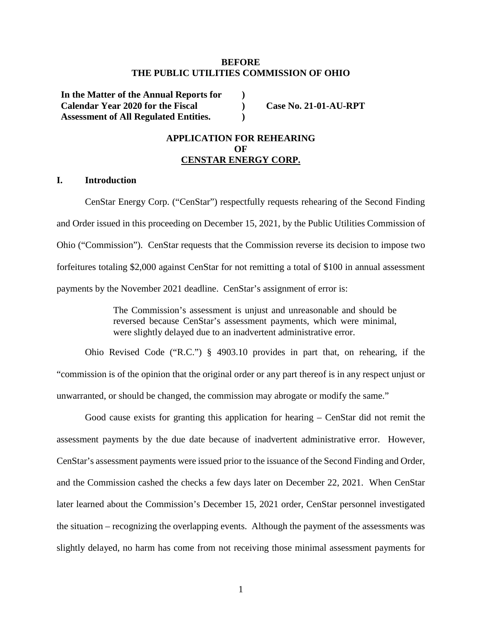### **BEFORE THE PUBLIC UTILITIES COMMISSION OF OHIO**

**) ) )** 

**In the Matter of the Annual Reports for Calendar Year 2020 for the Fiscal Assessment of All Regulated Entities.** 

**Case No. 21-01-AU-RPT** 

## **APPLICATION FOR REHEARING OF CENSTAR ENERGY CORP.**

### **I. Introduction**

CenStar Energy Corp. ("CenStar") respectfully requests rehearing of the Second Finding and Order issued in this proceeding on December 15, 2021, by the Public Utilities Commission of Ohio ("Commission"). CenStar requests that the Commission reverse its decision to impose two forfeitures totaling \$2,000 against CenStar for not remitting a total of \$100 in annual assessment payments by the November 2021 deadline. CenStar's assignment of error is:

> The Commission's assessment is unjust and unreasonable and should be reversed because CenStar's assessment payments, which were minimal, were slightly delayed due to an inadvertent administrative error.

Ohio Revised Code ("R.C.") § 4903.10 provides in part that, on rehearing, if the "commission is of the opinion that the original order or any part thereof is in any respect unjust or unwarranted, or should be changed, the commission may abrogate or modify the same."

Good cause exists for granting this application for hearing – CenStar did not remit the assessment payments by the due date because of inadvertent administrative error. However, CenStar's assessment payments were issued prior to the issuance of the Second Finding and Order, and the Commission cashed the checks a few days later on December 22, 2021. When CenStar later learned about the Commission's December 15, 2021 order, CenStar personnel investigated the situation – recognizing the overlapping events. Although the payment of the assessments was slightly delayed, no harm has come from not receiving those minimal assessment payments for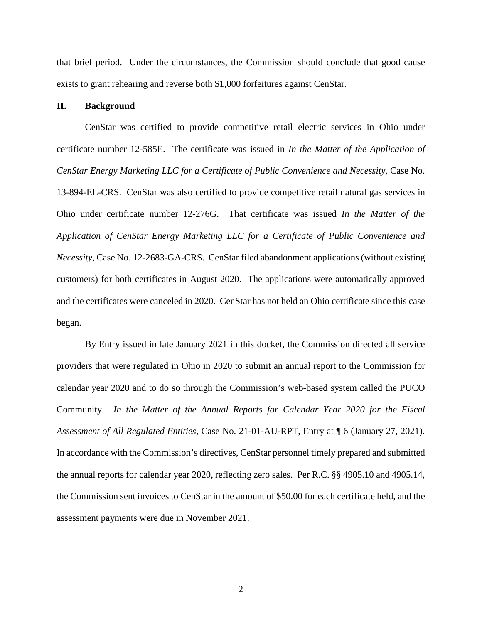that brief period. Under the circumstances, the Commission should conclude that good cause exists to grant rehearing and reverse both \$1,000 forfeitures against CenStar.

## **II. Background**

CenStar was certified to provide competitive retail electric services in Ohio under certificate number 12-585E. The certificate was issued in *In the Matter of the Application of CenStar Energy Marketing LLC for a Certificate of Public Convenience and Necessity*, Case No. 13-894-EL-CRS. CenStar was also certified to provide competitive retail natural gas services in Ohio under certificate number 12-276G. That certificate was issued *In the Matter of the Application of CenStar Energy Marketing LLC for a Certificate of Public Convenience and Necessity*, Case No. 12-2683-GA-CRS. CenStar filed abandonment applications (without existing customers) for both certificates in August 2020. The applications were automatically approved and the certificates were canceled in 2020. CenStar has not held an Ohio certificate since this case began.

By Entry issued in late January 2021 in this docket, the Commission directed all service providers that were regulated in Ohio in 2020 to submit an annual report to the Commission for calendar year 2020 and to do so through the Commission's web-based system called the PUCO Community. *In the Matter of the Annual Reports for Calendar Year 2020 for the Fiscal Assessment of All Regulated Entities*, Case No. 21-01-AU-RPT, Entry at ¶ 6 (January 27, 2021). In accordance with the Commission's directives, CenStar personnel timely prepared and submitted the annual reports for calendar year 2020, reflecting zero sales. Per R.C. §§ 4905.10 and 4905.14, the Commission sent invoices to CenStar in the amount of \$50.00 for each certificate held, and the assessment payments were due in November 2021.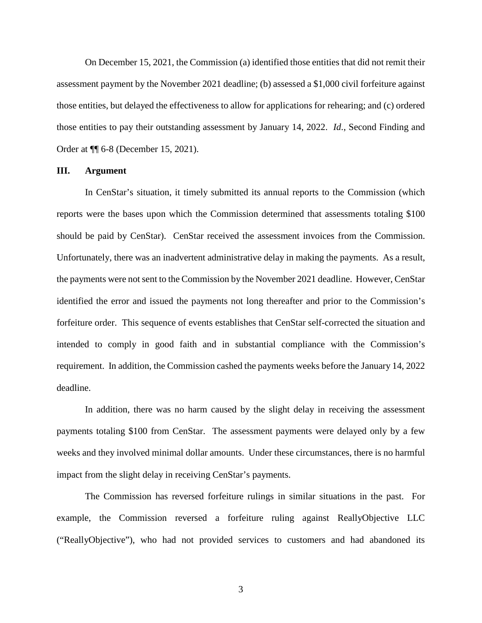On December 15, 2021, the Commission (a) identified those entities that did not remit their assessment payment by the November 2021 deadline; (b) assessed a \$1,000 civil forfeiture against those entities, but delayed the effectiveness to allow for applications for rehearing; and (c) ordered those entities to pay their outstanding assessment by January 14, 2022. *Id*., Second Finding and Order at ¶¶ 6-8 (December 15, 2021).

### **III. Argument**

In CenStar's situation, it timely submitted its annual reports to the Commission (which reports were the bases upon which the Commission determined that assessments totaling \$100 should be paid by CenStar). CenStar received the assessment invoices from the Commission. Unfortunately, there was an inadvertent administrative delay in making the payments. As a result, the payments were not sent to the Commission by the November 2021 deadline. However, CenStar identified the error and issued the payments not long thereafter and prior to the Commission's forfeiture order. This sequence of events establishes that CenStar self-corrected the situation and intended to comply in good faith and in substantial compliance with the Commission's requirement. In addition, the Commission cashed the payments weeks before the January 14, 2022 deadline.

In addition, there was no harm caused by the slight delay in receiving the assessment payments totaling \$100 from CenStar. The assessment payments were delayed only by a few weeks and they involved minimal dollar amounts. Under these circumstances, there is no harmful impact from the slight delay in receiving CenStar's payments.

The Commission has reversed forfeiture rulings in similar situations in the past. For example, the Commission reversed a forfeiture ruling against ReallyObjective LLC ("ReallyObjective"), who had not provided services to customers and had abandoned its

3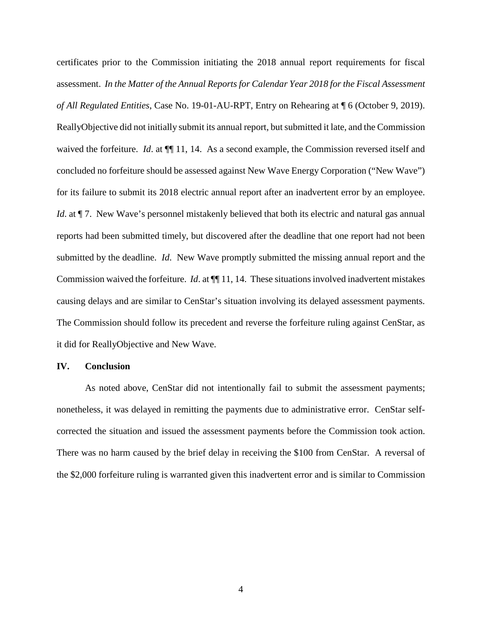certificates prior to the Commission initiating the 2018 annual report requirements for fiscal assessment. *In the Matter of the Annual Reports for Calendar Year 2018 for the Fiscal Assessment of All Regulated Entities*, Case No. 19-01-AU-RPT, Entry on Rehearing at ¶ 6 (October 9, 2019). ReallyObjective did not initially submit its annual report, but submitted it late, and the Commission waived the forfeiture. *Id*. at  $\P\P$  11, 14. As a second example, the Commission reversed itself and concluded no forfeiture should be assessed against New Wave Energy Corporation ("New Wave") for its failure to submit its 2018 electric annual report after an inadvertent error by an employee. *Id.* at  $\P$  7. New Wave's personnel mistakenly believed that both its electric and natural gas annual reports had been submitted timely, but discovered after the deadline that one report had not been submitted by the deadline. *Id*. New Wave promptly submitted the missing annual report and the Commission waived the forfeiture. *Id*. at ¶¶ 11, 14. These situations involved inadvertent mistakes causing delays and are similar to CenStar's situation involving its delayed assessment payments. The Commission should follow its precedent and reverse the forfeiture ruling against CenStar, as it did for ReallyObjective and New Wave.

#### **IV. Conclusion**

As noted above, CenStar did not intentionally fail to submit the assessment payments; nonetheless, it was delayed in remitting the payments due to administrative error. CenStar selfcorrected the situation and issued the assessment payments before the Commission took action. There was no harm caused by the brief delay in receiving the \$100 from CenStar. A reversal of the \$2,000 forfeiture ruling is warranted given this inadvertent error and is similar to Commission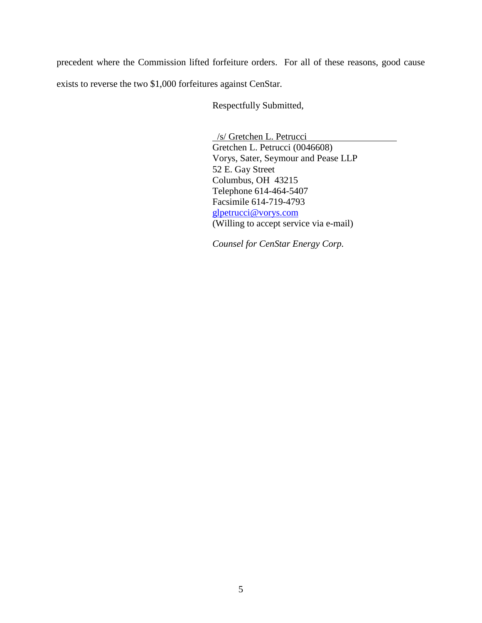precedent where the Commission lifted forfeiture orders. For all of these reasons, good cause exists to reverse the two \$1,000 forfeitures against CenStar.

Respectfully Submitted,

 /s/ Gretchen L. Petrucci Gretchen L. Petrucci (0046608) Vorys, Sater, Seymour and Pease LLP 52 E. Gay Street Columbus, OH 43215 Telephone 614-464-5407 Facsimile 614-719-4793 glpetrucci@vorys.com (Willing to accept service via e-mail)

*Counsel for CenStar Energy Corp.*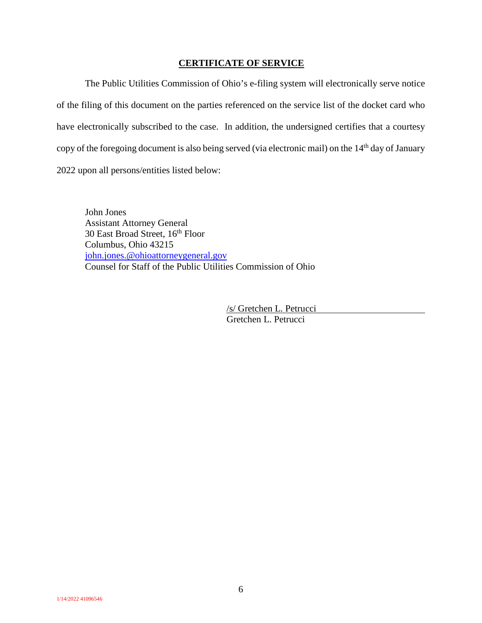## **CERTIFICATE OF SERVICE**

The Public Utilities Commission of Ohio's e-filing system will electronically serve notice of the filing of this document on the parties referenced on the service list of the docket card who have electronically subscribed to the case. In addition, the undersigned certifies that a courtesy copy of the foregoing document is also being served (via electronic mail) on the 14<sup>th</sup> day of January 2022 upon all persons/entities listed below:

John Jones Assistant Attorney General 30 East Broad Street,  $16^{th}$  Floor Columbus, Ohio 43215 john.jones.@ohioattorneygeneral.gov Counsel for Staff of the Public Utilities Commission of Ohio

> /s/ Gretchen L. Petrucci Gretchen L. Petrucci